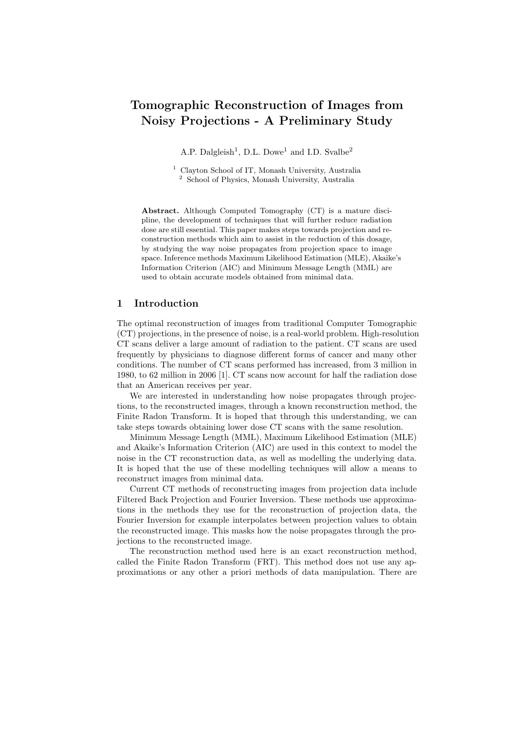# Tomographic Reconstruction of Images from Noisy Projections - A Preliminary Study

A.P. Dalgleish<sup>1</sup>, D.L. Dowe<sup>1</sup> and I.D. Svalbe<sup>2</sup>

<sup>1</sup> Clayton School of IT, Monash University, Australia <sup>2</sup> School of Physics, Monash University, Australia

Abstract. Although Computed Tomography (CT) is a mature discipline, the development of techniques that will further reduce radiation dose are still essential. This paper makes steps towards projection and reconstruction methods which aim to assist in the reduction of this dosage, by studying the way noise propagates from projection space to image space. Inference methods Maximum Likelihood Estimation (MLE), Akaike's Information Criterion (AIC) and Minimum Message Length (MML) are used to obtain accurate models obtained from minimal data.

# 1 Introduction

The optimal reconstruction of images from traditional Computer Tomographic (CT) projections, in the presence of noise, is a real-world problem. High-resolution CT scans deliver a large amount of radiation to the patient. CT scans are used frequently by physicians to diagnose different forms of cancer and many other conditions. The number of CT scans performed has increased, from 3 million in 1980, to 62 million in 2006 [1]. CT scans now account for half the radiation dose that an American receives per year.

We are interested in understanding how noise propagates through projections, to the reconstructed images, through a known reconstruction method, the Finite Radon Transform. It is hoped that through this understanding, we can take steps towards obtaining lower dose CT scans with the same resolution.

Minimum Message Length (MML), Maximum Likelihood Estimation (MLE) and Akaike's Information Criterion (AIC) are used in this context to model the noise in the CT reconstruction data, as well as modelling the underlying data. It is hoped that the use of these modelling techniques will allow a means to reconstruct images from minimal data.

Current CT methods of reconstructing images from projection data include Filtered Back Projection and Fourier Inversion. These methods use approximations in the methods they use for the reconstruction of projection data, the Fourier Inversion for example interpolates between projection values to obtain the reconstructed image. This masks how the noise propagates through the projections to the reconstructed image.

The reconstruction method used here is an exact reconstruction method, called the Finite Radon Transform (FRT). This method does not use any approximations or any other a priori methods of data manipulation. There are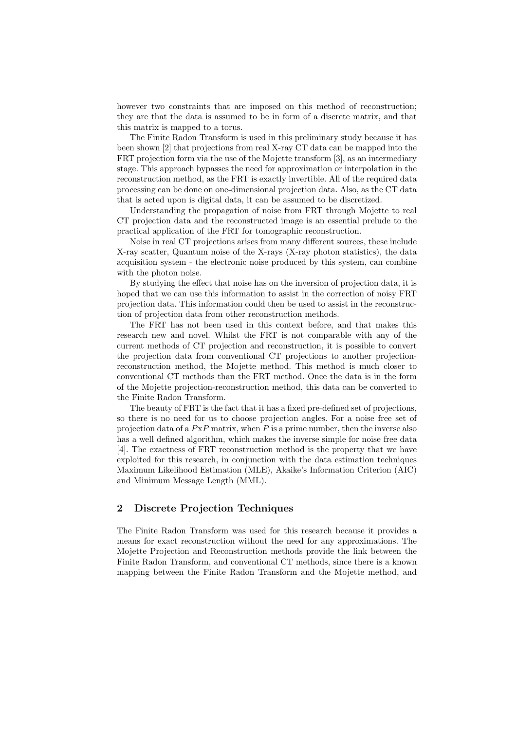however two constraints that are imposed on this method of reconstruction; they are that the data is assumed to be in form of a discrete matrix, and that this matrix is mapped to a torus.

The Finite Radon Transform is used in this preliminary study because it has been shown [2] that projections from real X-ray CT data can be mapped into the FRT projection form via the use of the Mojette transform [3], as an intermediary stage. This approach bypasses the need for approximation or interpolation in the reconstruction method, as the FRT is exactly invertible. All of the required data processing can be done on one-dimensional projection data. Also, as the CT data that is acted upon is digital data, it can be assumed to be discretized.

Understanding the propagation of noise from FRT through Mojette to real CT projection data and the reconstructed image is an essential prelude to the practical application of the FRT for tomographic reconstruction.

Noise in real CT projections arises from many different sources, these include X-ray scatter, Quantum noise of the X-rays (X-ray photon statistics), the data acquisition system - the electronic noise produced by this system, can combine with the photon noise.

By studying the effect that noise has on the inversion of projection data, it is hoped that we can use this information to assist in the correction of noisy FRT projection data. This information could then be used to assist in the reconstruction of projection data from other reconstruction methods.

The FRT has not been used in this context before, and that makes this research new and novel. Whilst the FRT is not comparable with any of the current methods of CT projection and reconstruction, it is possible to convert the projection data from conventional CT projections to another projectionreconstruction method, the Mojette method. This method is much closer to conventional CT methods than the FRT method. Once the data is in the form of the Mojette projection-reconstruction method, this data can be converted to the Finite Radon Transform.

The beauty of FRT is the fact that it has a fixed pre-defined set of projections, so there is no need for us to choose projection angles. For a noise free set of projection data of a  $P x P$  matrix, when  $P$  is a prime number, then the inverse also has a well defined algorithm, which makes the inverse simple for noise free data [4]. The exactness of FRT reconstruction method is the property that we have exploited for this research, in conjunction with the data estimation techniques Maximum Likelihood Estimation (MLE), Akaike's Information Criterion (AIC) and Minimum Message Length (MML).

## 2 Discrete Projection Techniques

The Finite Radon Transform was used for this research because it provides a means for exact reconstruction without the need for any approximations. The Mojette Projection and Reconstruction methods provide the link between the Finite Radon Transform, and conventional CT methods, since there is a known mapping between the Finite Radon Transform and the Mojette method, and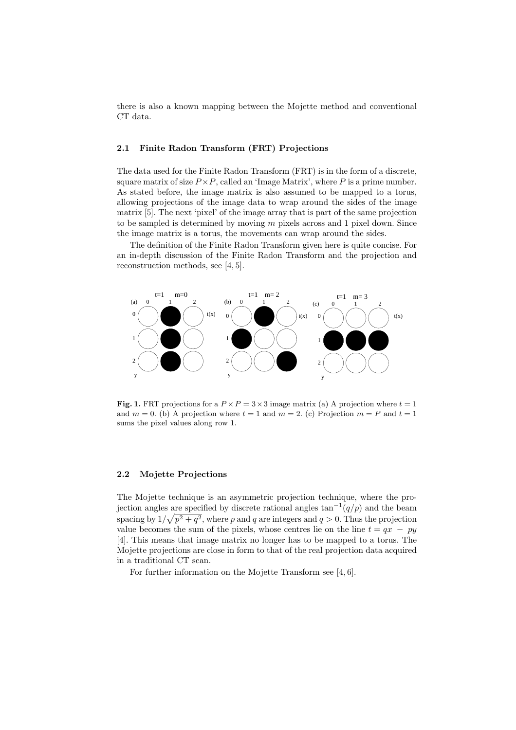there is also a known mapping between the Mojette method and conventional CT data.

# 2.1 Finite Radon Transform (FRT) Projections

The data used for the Finite Radon Transform (FRT) is in the form of a discrete, square matrix of size  $P \times P$ , called an 'Image Matrix', where P is a prime number. As stated before, the image matrix is also assumed to be mapped to a torus, allowing projections of the image data to wrap around the sides of the image matrix [5]. The next 'pixel' of the image array that is part of the same projection to be sampled is determined by moving  $m$  pixels across and 1 pixel down. Since the image matrix is a torus, the movements can wrap around the sides.

The definition of the Finite Radon Transform given here is quite concise. For an in-depth discussion of the Finite Radon Transform and the projection and reconstruction methods, see [4, 5].



Fig. 1. FRT projections for a  $P \times P = 3 \times 3$  image matrix (a) A projection where  $t = 1$ and  $m = 0$ . (b) A projection where  $t = 1$  and  $m = 2$ . (c) Projection  $m = P$  and  $t = 1$ sums the pixel values along row 1.

#### 2.2 Mojette Projections

The Mojette technique is an asymmetric projection technique, where the projection angles are specified by discrete rational angles  $\tan^{-1}(q/p)$  and the beam spacing by  $1/\sqrt{p^2+q^2}$ , where p and q are integers and  $q>0$ . Thus the projection value becomes the sum of the pixels, whose centres lie on the line  $t = qx - py$ [4]. This means that image matrix no longer has to be mapped to a torus. The Mojette projections are close in form to that of the real projection data acquired in a traditional CT scan.

For further information on the Mojette Transform see [4, 6].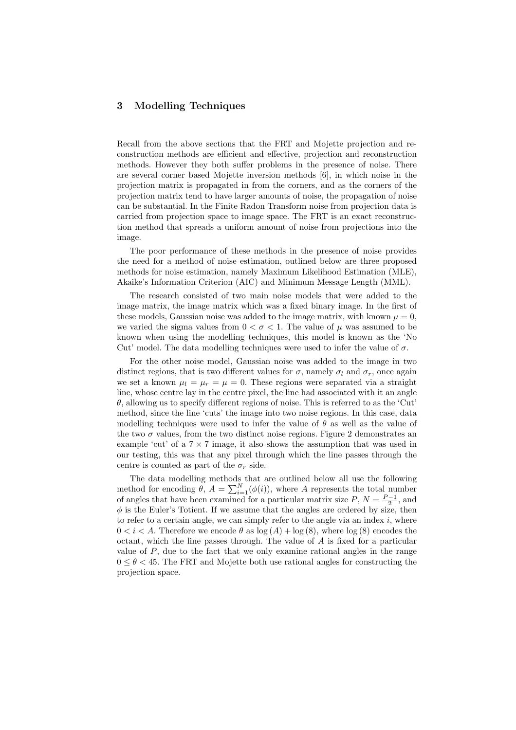# 3 Modelling Techniques

Recall from the above sections that the FRT and Mojette projection and reconstruction methods are efficient and effective, projection and reconstruction methods. However they both suffer problems in the presence of noise. There are several corner based Mojette inversion methods [6], in which noise in the projection matrix is propagated in from the corners, and as the corners of the projection matrix tend to have larger amounts of noise, the propagation of noise can be substantial. In the Finite Radon Transform noise from projection data is carried from projection space to image space. The FRT is an exact reconstruction method that spreads a uniform amount of noise from projections into the image.

The poor performance of these methods in the presence of noise provides the need for a method of noise estimation, outlined below are three proposed methods for noise estimation, namely Maximum Likelihood Estimation (MLE), Akaike's Information Criterion (AIC) and Minimum Message Length (MML).

The research consisted of two main noise models that were added to the image matrix, the image matrix which was a fixed binary image. In the first of these models. Gaussian noise was added to the image matrix, with known  $\mu = 0$ , we varied the sigma values from  $0 < \sigma < 1$ . The value of  $\mu$  was assumed to be known when using the modelling techniques, this model is known as the 'No Cut' model. The data modelling techniques were used to infer the value of  $\sigma$ .

For the other noise model, Gaussian noise was added to the image in two distinct regions, that is two different values for  $\sigma$ , namely  $\sigma_l$  and  $\sigma_r$ , once again we set a known  $\mu_l = \mu_r = \mu = 0$ . These regions were separated via a straight line, whose centre lay in the centre pixel, the line had associated with it an angle  $\theta$ , allowing us to specify different regions of noise. This is referred to as the 'Cut' method, since the line 'cuts' the image into two noise regions. In this case, data modelling techniques were used to infer the value of  $\theta$  as well as the value of the two  $\sigma$  values, from the two distinct noise regions. Figure 2 demonstrates an example 'cut' of a  $7 \times 7$  image, it also shows the assumption that was used in our testing, this was that any pixel through which the line passes through the centre is counted as part of the  $\sigma_r$  side.

The data modelling methods that are outlined below all use the following The data modelling methods that are outlined below an use the following<br>method for encoding  $\theta$ ,  $A = \sum_{i=1}^{N} (\phi(i))$ , where A represents the total number of angles that have been examined for a particular matrix size  $P, N = \frac{P-1}{2}$ , and  $\phi$  is the Euler's Totient. If we assume that the angles are ordered by size, then to refer to a certain angle, we can simply refer to the angle via an index  $i$ , where  $0 < i < A$ . Therefore we encode  $\theta$  as  $\log(A) + \log(B)$ , where  $\log(B)$  encodes the octant, which the line passes through. The value of A is fixed for a particular value of  $P$ , due to the fact that we only examine rational angles in the range  $0 \leq \theta \leq 45$ . The FRT and Mojette both use rational angles for constructing the projection space.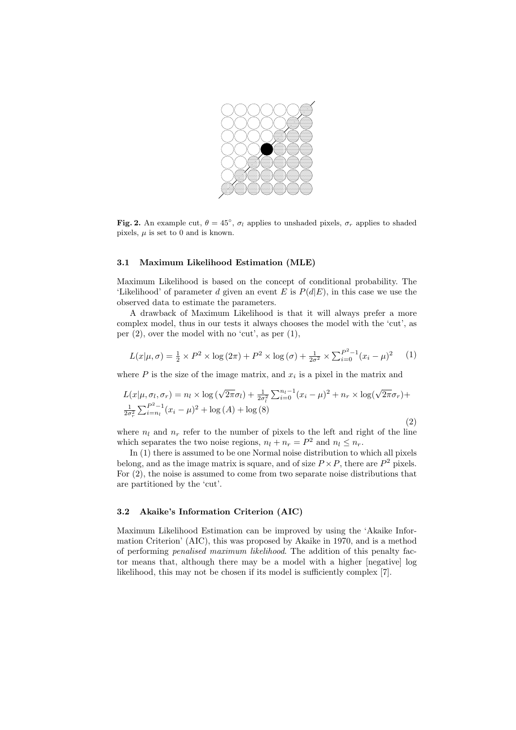

Fig. 2. An example cut,  $\theta = 45^{\circ}$ ,  $\sigma_l$  applies to unshaded pixels,  $\sigma_r$  applies to shaded pixels,  $\mu$  is set to 0 and is known.

#### 3.1 Maximum Likelihood Estimation (MLE)

Maximum Likelihood is based on the concept of conditional probability. The 'Likelihood' of parameter d given an event E is  $P(d|E)$ , in this case we use the observed data to estimate the parameters.

A drawback of Maximum Likelihood is that it will always prefer a more complex model, thus in our tests it always chooses the model with the 'cut', as per (2), over the model with no 'cut', as per (1),

$$
L(x|\mu,\sigma) = \frac{1}{2} \times P^2 \times \log(2\pi) + P^2 \times \log(\sigma) + \frac{1}{2\sigma^2} \times \sum_{i=0}^{P^2-1} (x_i - \mu)^2 \tag{1}
$$

where  $P$  is the size of the image matrix, and  $x_i$  is a pixel in the matrix and

$$
L(x|\mu, \sigma_l, \sigma_r) = n_l \times \log(\sqrt{2\pi}\sigma_l) + \frac{1}{2\sigma_l^2} \sum_{i=0}^{n_l - 1} (x_i - \mu)^2 + n_r \times \log(\sqrt{2\pi}\sigma_r) + \frac{1}{2\sigma_r^2} \sum_{i=n_l}^{p^2 - 1} (x_i - \mu)^2 + \log(A) + \log(8)
$$
\n(2)

where  $n_l$  and  $n_r$  refer to the number of pixels to the left and right of the line which separates the two noise regions,  $n_l + n_r = P^2$  and  $n_l \leq n_r$ .

In (1) there is assumed to be one Normal noise distribution to which all pixels belong, and as the image matrix is square, and of size  $P \times P$ , there are  $P^2$  pixels. For (2), the noise is assumed to come from two separate noise distributions that are partitioned by the 'cut'.

#### 3.2 Akaike's Information Criterion (AIC)

Maximum Likelihood Estimation can be improved by using the 'Akaike Information Criterion' (AIC), this was proposed by Akaike in 1970, and is a method of performing penalised maximum likelihood. The addition of this penalty factor means that, although there may be a model with a higher [negative] log likelihood, this may not be chosen if its model is sufficiently complex [7].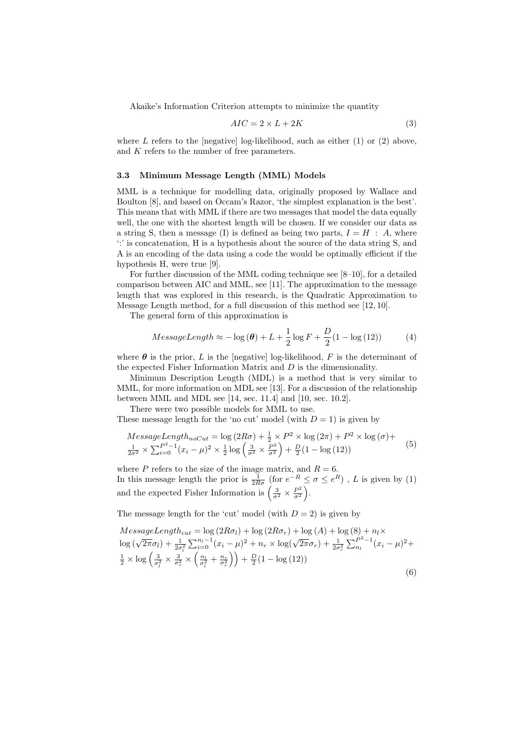Akaike's Information Criterion attempts to minimize the quantity

$$
AIC = 2 \times L + 2K \tag{3}
$$

where L refers to the [negative] log-likelihood, such as either  $(1)$  or  $(2)$  above, and K refers to the number of free parameters.

#### 3.3 Minimum Message Length (MML) Models

MML is a technique for modelling data, originally proposed by Wallace and Boulton [8], and based on Occam's Razor, 'the simplest explanation is the best'. This means that with MML if there are two messages that model the data equally well, the one with the shortest length will be chosen. If we consider our data as a string S, then a message (I) is defined as being two parts,  $I = H : A$ , where ':' is concatenation, H is a hypothesis about the source of the data string S, and A is an encoding of the data using a code the would be optimally efficient if the hypothesis H, were true [9].

For further discussion of the MML coding technique see [8–10], for a detailed comparison between AIC and MML, see [11]. The approximation to the message length that was explored in this research, is the Quadratic Approximation to Message Length method, for a full discussion of this method see [12, 10].

The general form of this approximation is

$$
MessageLength \approx -\log(\theta) + L + \frac{1}{2}\log F + \frac{D}{2}(1 - \log(12))
$$
 (4)

where  $\theta$  is the prior, L is the [negative] log-likelihood, F is the determinant of the expected Fisher Information Matrix and D is the dimensionality.

Minimum Description Length (MDL) is a method that is very similar to MML, for more information on MDL see [13]. For a discussion of the relationship between MML and MDL see [14, sec. 11.4] and [10, sec. 10.2].

There were two possible models for MML to use.

These message length for the 'no cut' model (with  $D = 1$ ) is given by

$$
MessageLength_{noCut} = \log (2R\sigma) + \frac{1}{2} \times P^2 \times \log (2\pi) + P^2 \times \log (\sigma) +
$$
  

$$
\frac{1}{2\sigma^2} \times \sum_{i=0}^{P^2 - 1} (x_i - \mu)^2 \times \frac{1}{2} \log \left( \frac{3}{\sigma^2} \times \frac{P^2}{\sigma^2} \right) + \frac{D}{2} (1 - \log (12))
$$
 (5)

where P refers to the size of the image matrix, and  $R = 6$ . In this message length the prior is  $\frac{1}{2R\sigma}$  (for  $e^{-R} \le \sigma \le e^{R}$ ), *L* is given by (1) and the expected Fisher Information is  $\left(\frac{3}{\sigma^2} \times \frac{P^2}{\sigma^2}\right)$ .  $\overline{\sigma^2}$ ` \_ .

The message length for the 'cut' model (with  $D = 2$ ) is given by

$$
MessageLength_{cut} = \log (2R\sigma_l) + \log (2R\sigma_r) + \log (A) + \log (8) + n_l \times
$$
  
\n
$$
\log (\sqrt{2\pi}\sigma_l) + \frac{1}{2\sigma_l^2} \sum_{i=0}^{n_l - 1} (x_i - \mu)^2 + n_r \times \log(\sqrt{2\pi}\sigma_r) + \frac{1}{2\sigma_r^2} \sum_{n_l}^{P^2 - 1} (x_i - \mu)^2 +
$$
  
\n
$$
\frac{1}{2} \times \log \left( \frac{3}{\sigma_l^2} \times \frac{3}{\sigma_r^2} \times \left( \frac{n_l}{\sigma_l^2} + \frac{n_r}{\sigma_r^2} \right) \right) + \frac{D}{2} (1 - \log (12))
$$
\n(6)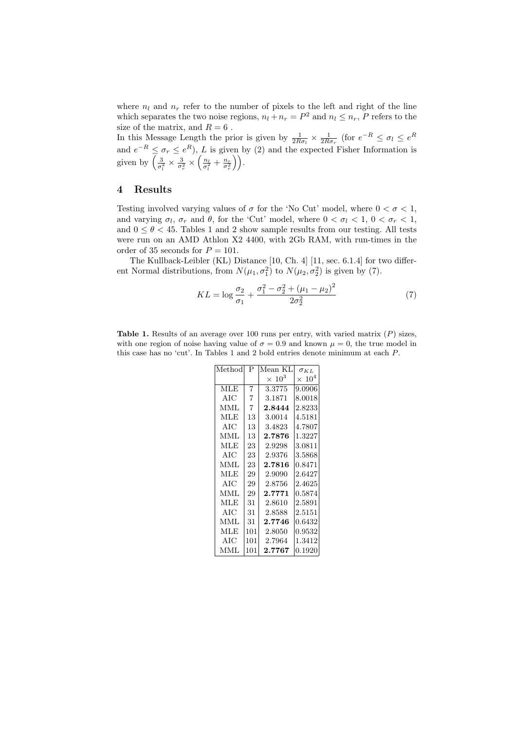where  $n_l$  and  $n_r$  refer to the number of pixels to the left and right of the line which separates the two noise regions,  $n_l + n_r = P^2$  and  $n_l \leq n_r$ , P refers to the size of the matrix, and  $R = 6$ .

In this Message Length the prior is given by  $\frac{1}{2R\sigma_l} \times \frac{1}{2R\sigma_r}$  (for  $e^{-R} \leq \sigma_l \leq e^R$ and  $e^{-R} \leq \sigma_r \leq e^{R}$ ), *L* is given by (2) and the expected Fisher Information is given by  $\left(\frac{3}{\sigma_i^2} \times \frac{3}{\sigma_r^2} \times \left(\frac{n_l}{\sigma_l^2} + \frac{n_r}{\sigma_r^2}\right)\right)$ . L is give<br>  $\left(\frac{n_l}{\sigma_l^2} + \frac{n_r}{\sigma_r^2}\right)$ en<br>、、 .

### 4 Results

Testing involved varying values of  $\sigma$  for the 'No Cut' model, where  $0 < \sigma < 1$ , and varying  $\sigma_l$ ,  $\sigma_r$  and  $\theta$ , for the 'Cut' model, where  $0 < \sigma_l < 1$ ,  $0 < \sigma_r < 1$ , and  $0 \le \theta < 45$ . Tables 1 and 2 show sample results from our testing. All tests were run on an AMD Athlon X2 4400, with 2Gb RAM, with run-times in the order of 35 seconds for  $P = 101$ .

The Kullback-Leibler (KL) Distance [10, Ch. 4] [11, sec. 6.1.4] for two different Normal distributions, from  $N(\mu_1, \sigma_1^2)$  to  $N(\mu_2, \sigma_2^2)$  is given by (7).

$$
KL = \log \frac{\sigma_2}{\sigma_1} + \frac{\sigma_1^2 - \sigma_2^2 + (\mu_1 - \mu_2)^2}{2\sigma_2^2} \tag{7}
$$

**Table 1.** Results of an average over 100 runs per entry, with varied matrix  $(P)$  sizes, with one region of noise having value of  $\sigma = 0.9$  and known  $\mu = 0$ , the true model in this case has no 'cut'. In Tables 1 and 2 bold entries denote minimum at each P.

| Method     | P              | Mean KL       | $\sigma_{KL}$ |
|------------|----------------|---------------|---------------|
|            |                | $\times~10^3$ | $\times~10^4$ |
| <b>MLE</b> | $\overline{7}$ | 3.3775        | 9.0906        |
| AІC        | 7              | 3.1871        | 8.0018        |
| MML        | 7              | 2.8444        | 2.8233        |
| <b>MLE</b> | 13             | 3.0014        | 4.5181        |
| AIC        | 13             | 3.4823        | 4.7807        |
| MML        | 13             | 2.7876        | 1.3227        |
| MLE        | 23             | 2.9298        | 3.0811        |
| AIC        | 23             | 2.9376        | 3.5868        |
| MML        | 23             | 2.7816        | 0.8471        |
| MLE        | 29             | 2.9090        | 2.6427        |
| AIC        | 29             | 2.8756        | 2.4625        |
| MML        | 29             | 2.7771        | 0.5874        |
| MLE        | 31             | 2.8610        | 2.5891        |
| AIC        | 31             | 2.8588        | 2.5151        |
| MML        | 31             | 2.7746        | 0.6432        |
| MLE        | 101            | 2.8050        | 0.9532        |
| AIC        | 101            | 2.7964        | 1.3412        |
| MML        | 101            | 2.7767        | 0.1920        |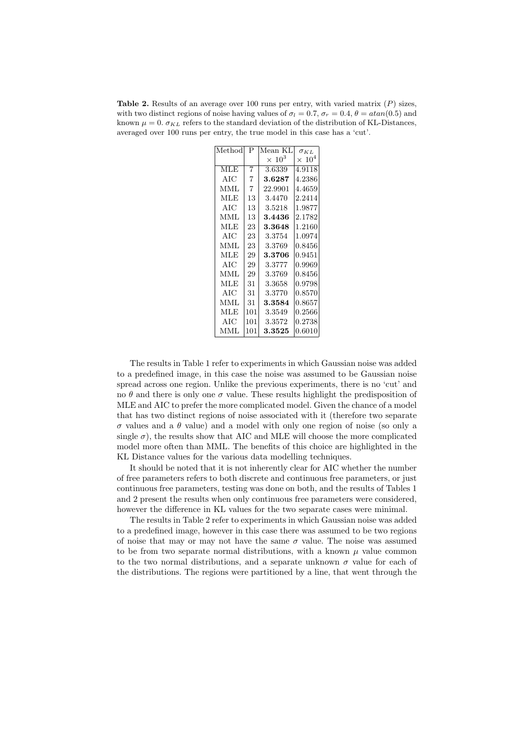**Table 2.** Results of an average over 100 runs per entry, with varied matrix  $(P)$  sizes, with two distinct regions of noise having values of  $\sigma_l = 0.7$ ,  $\sigma_r = 0.4$ ,  $\theta = \alpha \tan(0.5)$  and known  $\mu = 0$ .  $\sigma_{KL}$  refers to the standard deviation of the distribution of KL-Distances, averaged over 100 runs per entry, the true model in this case has a 'cut'.

| Method     | P              | Mean KL       | $\sigma_{KL}$ |
|------------|----------------|---------------|---------------|
|            |                | $\times~10^3$ | $\times~10^4$ |
| <b>MLE</b> | $\overline{7}$ | 3.6339        | 4.9118        |
| AIC        | 7              | 3.6287        | 4.2386        |
| MML        | $\overline{7}$ | 22.9901       | 4.4659        |
| <b>MLE</b> | 13             | 3.4470        | 2.2414        |
| AIC        | 13             | 3.5218        | 1.9877        |
| MML        | 13             | 3.4436        | 2.1782        |
| MLE        | 23             | 3.3648        | 1.2160        |
| AIC        | 23             | 3.3754        | 1.0974        |
| MML        | 23             | 3.3769        | 0.8456        |
| <b>MLE</b> | 29             | 3.3706        | 0.9451        |
| AIC        | 29             | 3.3777        | 0.9969        |
| MML        | 29             | 3.3769        | 0.8456        |
| MLE        | 31             | 3.3658        | 0.9798        |
| AIC        | 31             | 3.3770        | 0.8570        |
| MML        | 31             | 3.3584        | 0.8657        |
| MLE        | 101            | 3.3549        | 0.2566        |
| AIC        | 101            | 3.3572        | 0.2738        |
| MML        | 101            | 3.3525        | 0.6010        |

The results in Table 1 refer to experiments in which Gaussian noise was added to a predefined image, in this case the noise was assumed to be Gaussian noise spread across one region. Unlike the previous experiments, there is no 'cut' and no  $\theta$  and there is only one  $\sigma$  value. These results highlight the predisposition of MLE and AIC to prefer the more complicated model. Given the chance of a model that has two distinct regions of noise associated with it (therefore two separate σ values and a θ value) and a model with only one region of noise (so only a single  $\sigma$ ), the results show that AIC and MLE will choose the more complicated model more often than MML. The benefits of this choice are highlighted in the KL Distance values for the various data modelling techniques.

It should be noted that it is not inherently clear for AIC whether the number of free parameters refers to both discrete and continuous free parameters, or just continuous free parameters, testing was done on both, and the results of Tables 1 and 2 present the results when only continuous free parameters were considered, however the difference in KL values for the two separate cases were minimal.

The results in Table 2 refer to experiments in which Gaussian noise was added to a predefined image, however in this case there was assumed to be two regions of noise that may or may not have the same  $\sigma$  value. The noise was assumed to be from two separate normal distributions, with a known  $\mu$  value common to the two normal distributions, and a separate unknown  $\sigma$  value for each of the distributions. The regions were partitioned by a line, that went through the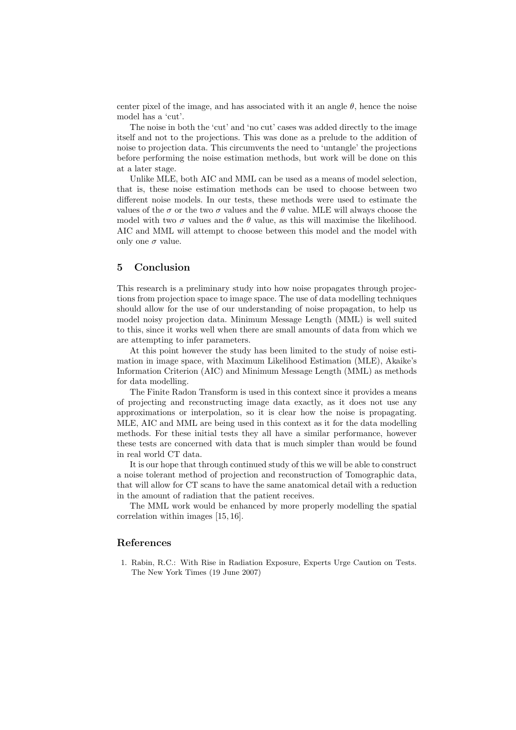center pixel of the image, and has associated with it an angle  $\theta$ , hence the noise model has a 'cut'.

The noise in both the 'cut' and 'no cut' cases was added directly to the image itself and not to the projections. This was done as a prelude to the addition of noise to projection data. This circumvents the need to 'untangle' the projections before performing the noise estimation methods, but work will be done on this at a later stage.

Unlike MLE, both AIC and MML can be used as a means of model selection, that is, these noise estimation methods can be used to choose between two different noise models. In our tests, these methods were used to estimate the values of the  $\sigma$  or the two  $\sigma$  values and the  $\theta$  value. MLE will always choose the model with two  $\sigma$  values and the  $\theta$  value, as this will maximise the likelihood. AIC and MML will attempt to choose between this model and the model with only one  $\sigma$  value.

# 5 Conclusion

This research is a preliminary study into how noise propagates through projections from projection space to image space. The use of data modelling techniques should allow for the use of our understanding of noise propagation, to help us model noisy projection data. Minimum Message Length (MML) is well suited to this, since it works well when there are small amounts of data from which we are attempting to infer parameters.

At this point however the study has been limited to the study of noise estimation in image space, with Maximum Likelihood Estimation (MLE), Akaike's Information Criterion (AIC) and Minimum Message Length (MML) as methods for data modelling.

The Finite Radon Transform is used in this context since it provides a means of projecting and reconstructing image data exactly, as it does not use any approximations or interpolation, so it is clear how the noise is propagating. MLE, AIC and MML are being used in this context as it for the data modelling methods. For these initial tests they all have a similar performance, however these tests are concerned with data that is much simpler than would be found in real world CT data.

It is our hope that through continued study of this we will be able to construct a noise tolerant method of projection and reconstruction of Tomographic data, that will allow for CT scans to have the same anatomical detail with a reduction in the amount of radiation that the patient receives.

The MML work would be enhanced by more properly modelling the spatial correlation within images [15, 16].

# References

1. Rabin, R.C.: With Rise in Radiation Exposure, Experts Urge Caution on Tests. The New York Times (19 June 2007)